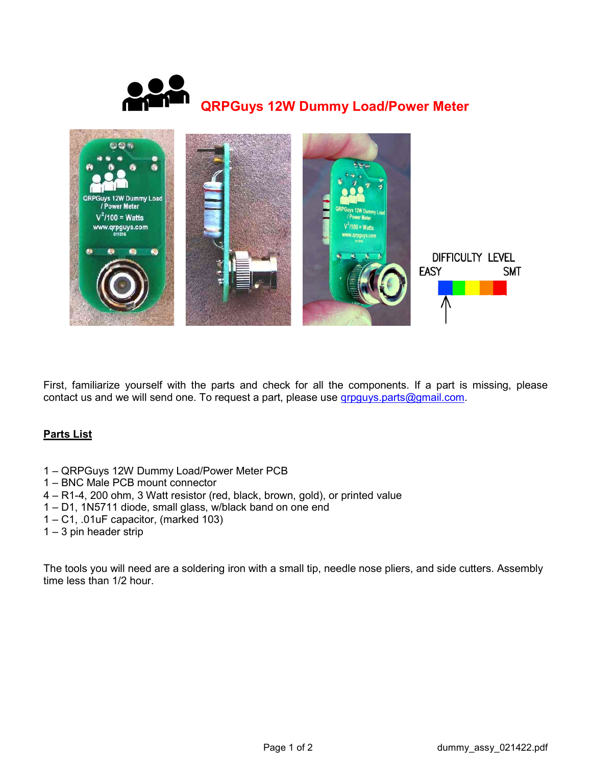



First, familiarize yourself with the parts and check for all the components. If a part is missing, please contact us and we will send one. To request a part, please use grpguys.parts@gmail.com.

## Parts List

- 1 QRPGuys 12W Dummy Load/Power Meter PCB
- 1 BNC Male PCB mount connector
- 4 R1-4, 200 ohm, 3 Watt resistor (red, black, brown, gold), or printed value
- 1 D1, 1N5711 diode, small glass, w/black band on one end
- 1 C1, .01uF capacitor, (marked 103)
- $1 3$  pin header strip

The tools you will need are a soldering iron with a small tip, needle nose pliers, and side cutters. Assembly time less than 1/2 hour.